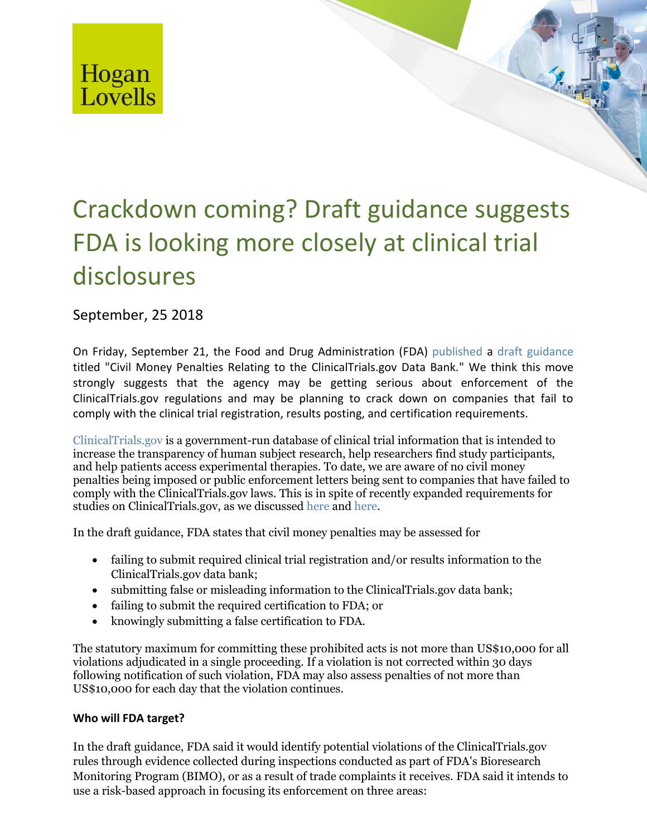

# Crackdown coming? Draft guidance suggests FDA is looking more closely at clinical trial disclosures

September, 25 2018

On Friday, September 21, the Food and Drug Administration (FDA) [published](https://www.gpo.gov/fdsys/pkg/FR-2018-09-21/pdf/2018-20560.pdf) a [draft guidance](https://www.fda.gov/downloads/RegulatoryInformation/Guidances/UCM607698.pdf?mkt_tok=eyJpIjoiTm1NM09URTBZVFJqTWpVNCIsInQiOiJObDcyNk5ObTJiTld0U2hiUmpUSE1TaE5yc05kaTBZdnRrd3hsczJhY2hCMnZ1VGZEcUFmMEh1M3dXOGtyMGdYQ0R3THdqQVpCSVQ4RzlEUUdRVnJXSm1ybXY3bVNIZzZJbTdiemh6Q0g0Rmd1dTc0QUpcL2RcL2o3U0lqZm96SSt3In0%3D) titled "Civil Money Penalties Relating to the ClinicalTrials.gov Data Bank." We think this move strongly suggests that the agency may be getting serious about enforcement of the ClinicalTrials.gov regulations and may be planning to crack down on companies that fail to comply with the clinical trial registration, results posting, and certification requirements.

[ClinicalTrials.gov](http://www.clinicaltrials.gov/) is a government-run database of clinical trial information that is intended to increase the transparency of human subject research, help researchers find study participants, and help patients access experimental therapies. To date, we are aware of no civil money penalties being imposed or public enforcement letters being sent to companies that have failed to comply with the ClinicalTrials.gov laws. This is in spite of recently expanded requirements for studies on ClinicalTrials.gov, as we discussed [here](http://www.hoganlovells.com/en/publications/it-s-final-expanded-registration-and-results-submission-requirements-for-clinicaltrials-gov) and [here.](http://www.hoganlovells.com/en/publications/hhs-final-rule-expands-clinical-trials)

In the draft guidance, FDA states that civil money penalties may be assessed for

- failing to submit required clinical trial registration and/or results information to the ClinicalTrials.gov data bank;
- submitting false or misleading information to the ClinicalTrials.gov data bank;
- failing to submit the required certification to FDA; or
- knowingly submitting a false certification to FDA.

The statutory maximum for committing these prohibited acts is not more than US\$10,000 for all violations adjudicated in a single proceeding. If a violation is not corrected within 30 days following notification of such violation, FDA may also assess penalties of not more than US\$10,000 for each day that the violation continues.

## **Who will FDA target?**

In the draft guidance, FDA said it would identify potential violations of the ClinicalTrials.gov rules through evidence collected during inspections conducted as part of FDA's Bioresearch Monitoring Program (BIMO), or as a result of trade complaints it receives. FDA said it intends to use a risk-based approach in focusing its enforcement on three areas: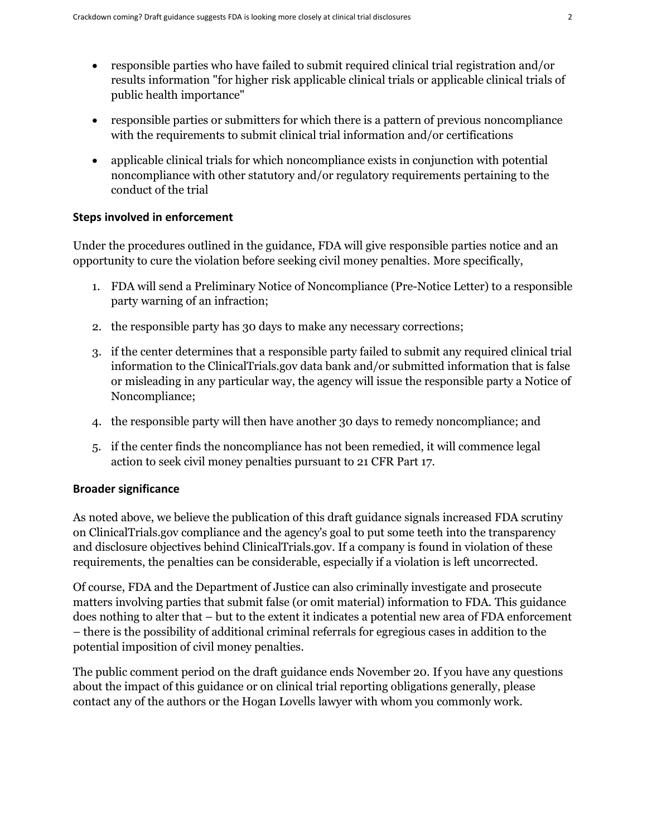- responsible parties who have failed to submit required clinical trial registration and/or results information "for higher risk applicable clinical trials or applicable clinical trials of public health importance"
- responsible parties or submitters for which there is a pattern of previous noncompliance with the requirements to submit clinical trial information and/or certifications
- applicable clinical trials for which noncompliance exists in conjunction with potential noncompliance with other statutory and/or regulatory requirements pertaining to the conduct of the trial

### **Steps involved in enforcement**

Under the procedures outlined in the guidance, FDA will give responsible parties notice and an opportunity to cure the violation before seeking civil money penalties. More specifically,

- 1. FDA will send a Preliminary Notice of Noncompliance (Pre-Notice Letter) to a responsible party warning of an infraction;
- 2. the responsible party has 30 days to make any necessary corrections;
- 3. if the center determines that a responsible party failed to submit any required clinical trial information to the ClinicalTrials.gov data bank and/or submitted information that is false or misleading in any particular way, the agency will issue the responsible party a Notice of Noncompliance;
- 4. the responsible party will then have another 30 days to remedy noncompliance; and
- 5. if the center finds the noncompliance has not been remedied, it will commence legal action to seek civil money penalties pursuant to 21 CFR Part 17.

## **Broader significance**

As noted above, we believe the publication of this draft guidance signals increased FDA scrutiny on ClinicalTrials.gov compliance and the agency's goal to put some teeth into the transparency and disclosure objectives behind ClinicalTrials.gov. If a company is found in violation of these requirements, the penalties can be considerable, especially if a violation is left uncorrected.

Of course, FDA and the Department of Justice can also criminally investigate and prosecute matters involving parties that submit false (or omit material) information to FDA. This guidance does nothing to alter that – but to the extent it indicates a potential new area of FDA enforcement – there is the possibility of additional criminal referrals for egregious cases in addition to the potential imposition of civil money penalties.

The public comment period on the draft guidance ends November 20. If you have any questions about the impact of this guidance or on clinical trial reporting obligations generally, please contact any of the authors or the Hogan Lovells lawyer with whom you commonly work.